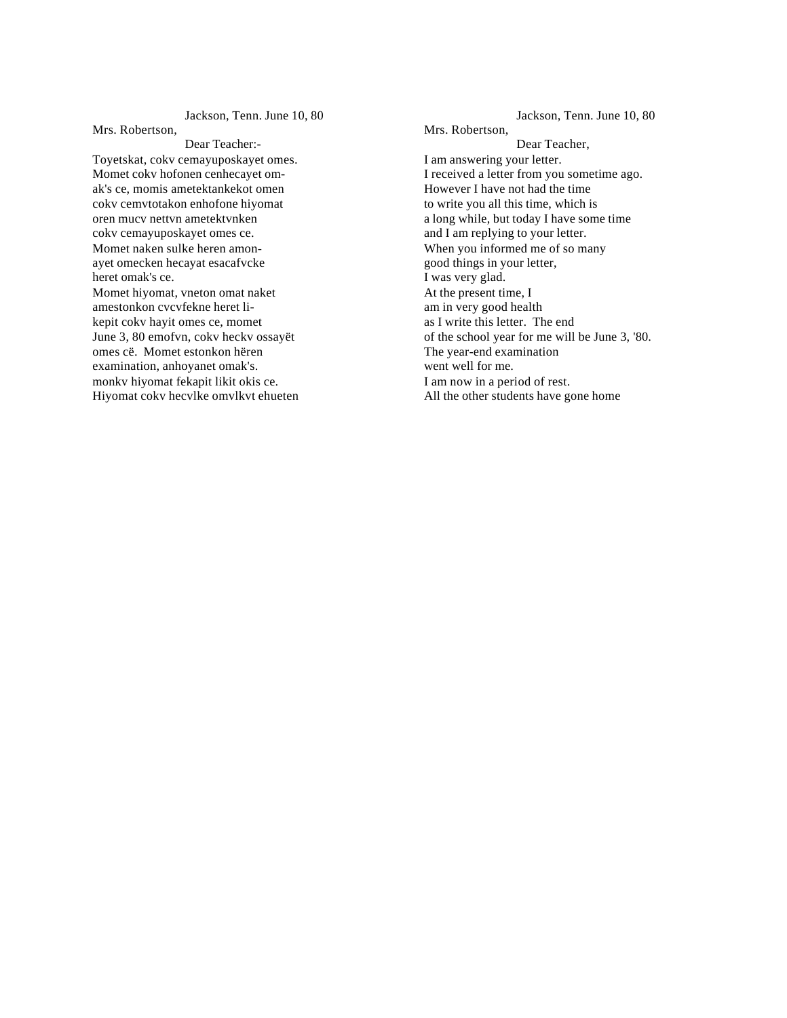Jackson, Tenn. June 10, 80

Mrs. Robertson,

Dear Teacher:- Toyetskat, cokv cemayuposkayet omes. Momet cokv hofonen cenhecayet omak's ce, momis ametektankekot omen cokv cemvtotakon enhofone hiyomat oren mucv nettvn ametektvnken cokv cemayuposkayet omes ce. Momet naken sulke heren amonayet omecken hecayat esacafvcke heret omak's ce. Momet hiyomat, vneton omat naket amestonkon cvcvfekne heret likepit cokv hayit omes ce, momet June 3, 80 emofvn, cokv heckv ossayët omes cë. Momet estonkon hëren examination, anhoyanet omak's. monkv hiyomat fekapit likit okis ce. Hiyomat cokv hecvlke omvlkvt ehueten

Jackson, Tenn. June 10, 80 Mrs. Robertson, Dear Teacher, I am answering your letter. I received a letter from you sometime ago. However I have not had the time to write you all this time, which is a long while, but today I have some time and I am replying to your letter. When you informed me of so many good things in your letter, I was very glad. At the present time, I am in very good health as I write this letter. The end of the school year for me will be June 3, '80. The year-end examination went well for me. I am now in a period of rest. All the other students have gone home